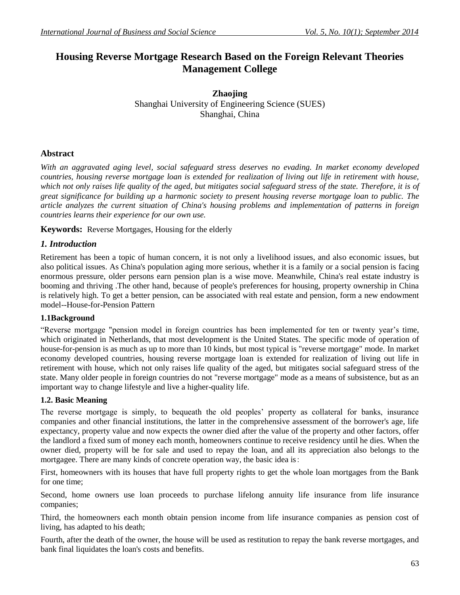# **Housing Reverse Mortgage Research Based on the Foreign Relevant Theories Management College**

**Zhaojing** Shanghai University of Engineering Science (SUES) Shanghai, China

## **Abstract**

*With an aggravated aging level, social safeguard stress deserves no evading. In market economy developed countries, housing reverse mortgage loan is extended for realization of living out life in retirement with house, which not only raises life quality of the aged, but mitigates social safeguard stress of the state. Therefore, it is of great significance for building up a harmonic society to present housing reverse mortgage loan to public. The article analyzes the current situation of China's housing problems and implementation of patterns in foreign countries learns their experience for our own use.*

**Keywords:** Reverse Mortgages, Housing for the elderly

## *1. Introduction*

Retirement has been a topic of human concern, it is not only a livelihood issues, and also economic issues, but also political issues. As China's population aging more serious, whether it is a family or a social pension is facing enormous pressure, older persons earn pension plan is a wise move. Meanwhile, China's real estate industry is booming and thriving .The other hand, because of people's preferences for housing, property ownership in China is relatively high. To get a better pension, can be associated with real estate and pension, form a new endowment model--House-for-Pension Pattern

### **1.1Background**

"Reverse mortgage "pension model in foreign countries has been implemented for ten or twenty year's time, which originated in Netherlands, that most development is the United States. The specific mode of operation of house-for-pension is as much as up to more than 10 kinds, but most typical is "reverse mortgage" mode. In market economy developed countries, housing reverse mortgage loan is extended for realization of living out life in retirement with house, which not only raises life quality of the aged, but mitigates social safeguard stress of the state. Many older people in foreign countries do not "reverse mortgage" mode as a means of subsistence, but as an important way to change lifestyle and live a higher-quality life.

### **1.2. Basic Meaning**

The reverse mortgage is simply, to bequeath the old peoples' property as collateral for banks, insurance companies and other financial institutions, the latter in the comprehensive assessment of the borrower's age, life expectancy, property value and now expects the owner died after the value of the property and other factors, offer the landlord a fixed sum of money each month, homeowners continue to receive residency until he dies. When the owner died, property will be for sale and used to repay the loan, and all its appreciation also belongs to the mortgagee. There are many kinds of concrete operation way, the basic idea is:

First, homeowners with its houses that have full property rights to get the whole loan mortgages from the Bank for one time;

Second, home owners use loan proceeds to purchase lifelong annuity life insurance from life insurance companies;

Third, the homeowners each month obtain pension income from life insurance companies as pension cost of living, has adapted to his death;

Fourth, after the death of the owner, the house will be used as restitution to repay the bank reverse mortgages, and bank final liquidates the loan's costs and benefits.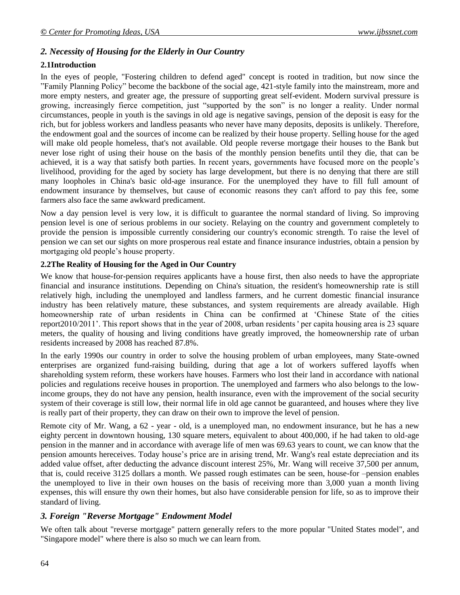## *2. Necessity of Housing for the Elderly in Our Country*

#### **2.1Introduction**

In the eyes of people, "Fostering children to defend aged" concept is rooted in tradition, but now since the "Family Planning Policy" become the backbone of the social age, 421-style family into the mainstream, more and more empty nesters, and greater age, the pressure of supporting great self-evident. Modern survival pressure is growing, increasingly fierce competition, just "supported by the son" is no longer a reality. Under normal circumstances, people in youth is the savings in old age is negative savings, pension of the deposit is easy for the rich, but for jobless workers and landless peasants who never have many deposits, deposits is unlikely. Therefore, the endowment goal and the sources of income can be realized by their house property. Selling house for the aged will make old people homeless, that's not available. Old people reverse mortgage their houses to the Bank but never lose right of using their house on the basis of the monthly pension benefits until they die, that can be achieved, it is a way that satisfy both parties. In recent years, governments have focused more on the people's livelihood, providing for the aged by society has large development, but there is no denying that there are still many loopholes in China's basic old-age insurance. For the unemployed they have to fill full amount of endowment insurance by themselves, but cause of economic reasons they can't afford to pay this fee, some farmers also face the same awkward predicament.

Now a day pension level is very low, it is difficult to guarantee the normal standard of living. So improving pension level is one of serious problems in our society. Relaying on the country and government completely to provide the pension is impossible currently considering our country's economic strength. To raise the level of pension we can set our sights on more prosperous real estate and finance insurance industries, obtain a pension by mortgaging old people's house property.

#### **2.2The Reality of Housing for the Aged in Our Country**

We know that house-for-pension requires applicants have a house first, then also needs to have the appropriate financial and insurance institutions. Depending on China's situation, the resident's homeownership rate is still relatively high, including the unemployed and landless farmers, and he current domestic financial insurance industry has been relatively mature, these substances, and system requirements are already available. High homeownership rate of urban residents in China can be confirmed at 'Chinese State of the cities report2010/2011'. This report shows that in the year of 2008, urban residents ' per capita housing area is 23 square meters, the quality of housing and living conditions have greatly improved, the homeownership rate of urban residents increased by 2008 has reached 87.8%.

In the early 1990s our country in order to solve the housing problem of urban employees, many State-owned enterprises are organized fund-raising building, during that age a lot of workers suffered layoffs when shareholding system reform, these workers have houses. Farmers who lost their land in accordance with national policies and regulations receive houses in proportion. The unemployed and farmers who also belongs to the lowincome groups, they do not have any pension, health insurance, even with the improvement of the social security system of their coverage is still low, their normal life in old age cannot be guaranteed, and houses where they live is really part of their property, they can draw on their own to improve the level of pension.

Remote city of Mr. Wang, a 62 - year - old, is a unemployed man, no endowment insurance, but he has a new eighty percent in downtown housing, 130 square meters, equivalent to about 400,000, if he had taken to old-age pension in the manner and in accordance with average life of men was 69.63 years to count, we can know that the pension amounts hereceives. Today house's price are in arising trend, Mr. Wang's real estate depreciation and its added value offset, after deducting the advance discount interest 25%, Mr. Wang will receive 37,500 per annum, that is, could receive 3125 dollars a month. We passed rough estimates can be seen, house-for –pension enables the unemployed to live in their own houses on the basis of receiving more than 3,000 yuan a month living expenses, this will ensure thy own their homes, but also have considerable pension for life, so as to improve their standard of living.

### *3. Foreign "Reverse Mortgage" Endowment Model*

We often talk about "reverse mortgage" pattern generally refers to the more popular "United States model", and "Singapore model" where there is also so much we can learn from.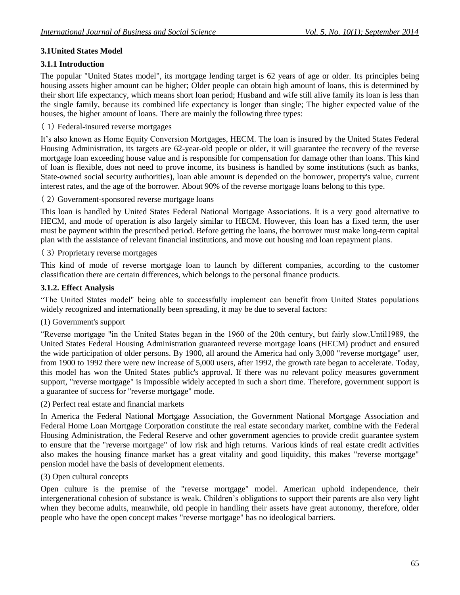## **3.1United States Model**

## **3.1.1 Introduction**

The popular "United States model", its mortgage lending target is 62 years of age or older. Its principles being housing assets higher amount can be higher; Older people can obtain high amount of loans, this is determined by their short life expectancy, which means short loan period; Husband and wife still alive family its loan is less than the single family, because its combined life expectancy is longer than single; The higher expected value of the houses, the higher amount of loans. There are mainly the following three types:

## ( 1) Federal-insured reverse mortgages

It's also known as Home Equity Conversion Mortgages, HECM. The loan is insured by the United States Federal Housing Administration, its targets are 62-year-old people or older, it will guarantee the recovery of the reverse mortgage loan exceeding house value and is responsible for compensation for damage other than loans. This kind of loan is flexible, does not need to prove income, its business is handled by some institutions (such as banks, State-owned social security authorities), loan able amount is depended on the borrower, property's value, current interest rates, and the age of the borrower. About 90% of the reverse mortgage loans belong to this type.

( 2) Government-sponsored reverse mortgage loans

This loan is handled by United States Federal National Mortgage Associations. It is a very good alternative to HECM, and mode of operation is also largely similar to HECM. However, this loan has a fixed term, the user must be payment within the prescribed period. Before getting the loans, the borrower must make long-term capital plan with the assistance of relevant financial institutions, and move out housing and loan repayment plans.

( 3) Proprietary reverse mortgages

This kind of mode of reverse mortgage loan to launch by different companies, according to the customer classification there are certain differences, which belongs to the personal finance products.

### **3.1.2. Effect Analysis**

"The United States model" being able to successfully implement can benefit from United States populations widely recognized and internationally been spreading, it may be due to several factors:

### (1) Government's support

"Reverse mortgage "in the United States began in the 1960 of the 20th century, but fairly slow.Until1989, the United States Federal Housing Administration guaranteed reverse mortgage loans (HECM) product and ensured the wide participation of older persons. By 1900, all around the America had only 3,000 "reverse mortgage" user, from 1900 to 1992 there were new increase of 5,000 users, after 1992, the growth rate began to accelerate. Today, this model has won the United States public's approval. If there was no relevant policy measures government support, "reverse mortgage" is impossible widely accepted in such a short time. Therefore, government support is a guarantee of success for "reverse mortgage" mode.

(2) Perfect real estate and financial markets

In America the Federal National Mortgage Association, the Government National Mortgage Association and Federal Home Loan Mortgage Corporation constitute the real estate secondary market, combine with the Federal Housing Administration, the Federal Reserve and other government agencies to provide credit guarantee system to ensure that the "reverse mortgage" of low risk and high returns. Various kinds of real estate credit activities also makes the housing finance market has a great vitality and good liquidity, this makes "reverse mortgage" pension model have the basis of development elements.

### (3) Open cultural concepts

Open culture is the premise of the "reverse mortgage" model. American uphold independence, their intergenerational cohesion of substance is weak. Children's obligations to support their parents are also very light when they become adults, meanwhile, old people in handling their assets have great autonomy, therefore, older people who have the open concept makes "reverse mortgage" has no ideological barriers.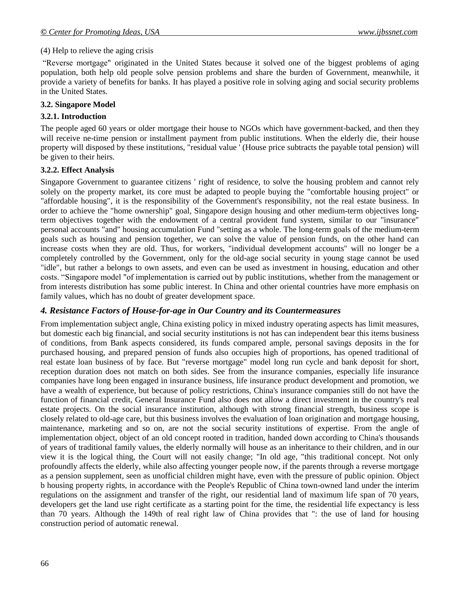#### (4) Help to relieve the aging crisis

"Reverse mortgage" originated in the United States because it solved one of the biggest problems of aging population, both help old people solve pension problems and share the burden of Government, meanwhile, it provide a variety of benefits for banks. It has played a positive role in solving aging and social security problems in the United States.

#### **3.2. Singapore Model**

#### **3.2.1. Introduction**

The people aged 60 years or older mortgage their house to NGOs which have government-backed, and then they will receive ne-time pension or installment payment from public institutions. When the elderly die, their house property will disposed by these institutions, "residual value ' (House price subtracts the payable total pension) will be given to their heirs.

#### **3.2.2. Effect Analysis**

Singapore Government to guarantee citizens ' right of residence, to solve the housing problem and cannot rely solely on the property market, its core must be adapted to people buying the "comfortable housing project" or "affordable housing", it is the responsibility of the Government's responsibility, not the real estate business. In order to achieve the "home ownership" goal, Singapore design housing and other medium-term objectives longterm objectives together with the endowment of a central provident fund system, similar to our "insurance" personal accounts "and" housing accumulation Fund "setting as a whole. The long-term goals of the medium-term goals such as housing and pension together, we can solve the value of pension funds, on the other hand can increase costs when they are old. Thus, for workers, "individual development accounts" will no longer be a completely controlled by the Government, only for the old-age social security in young stage cannot be used "idle", but rather a belongs to own assets, and even can be used as investment in housing, education and other costs. "Singapore model "of implementation is carried out by public institutions, whether from the management or from interests distribution has some public interest. In China and other oriental countries have more emphasis on family values, which has no doubt of greater development space.

#### *4. Resistance Factors of House-for-age in Our Country and its Countermeasures*

From implementation subject angle, China existing policy in mixed industry operating aspects has limit measures, but domestic each big financial, and social security institutions is not has can independent bear this items business of conditions, from Bank aspects considered, its funds compared ample, personal savings deposits in the for purchased housing, and prepared pension of funds also occupies high of proportions, has opened traditional of real estate loan business of by face. But "reverse mortgage" model long run cycle and bank deposit for short, reception duration does not match on both sides. See from the insurance companies, especially life insurance companies have long been engaged in insurance business, life insurance product development and promotion, we have a wealth of experience, but because of policy restrictions, China's insurance companies still do not have the function of financial credit, General Insurance Fund also does not allow a direct investment in the country's real estate projects. On the social insurance institution, although with strong financial strength, business scope is closely related to old-age care, but this business involves the evaluation of loan origination and mortgage housing, maintenance, marketing and so on, are not the social security institutions of expertise. From the angle of implementation object, object of an old concept rooted in tradition, handed down according to China's thousands of years of traditional family values, the elderly normally will house as an inheritance to their children, and in our view it is the logical thing, the Court will not easily change; "In old age, "this traditional concept. Not only profoundly affects the elderly, while also affecting younger people now, if the parents through a reverse mortgage as a pension supplement, seen as unofficial children might have, even with the pressure of public opinion. Object b housing property rights, in accordance with the People's Republic of China town-owned land under the interim regulations on the assignment and transfer of the right, our residential land of maximum life span of 70 years, developers get the land use right certificate as a starting point for the time, the residential life expectancy is less than 70 years. Although the 149th of real right law of China provides that ": the use of land for housing construction period of automatic renewal.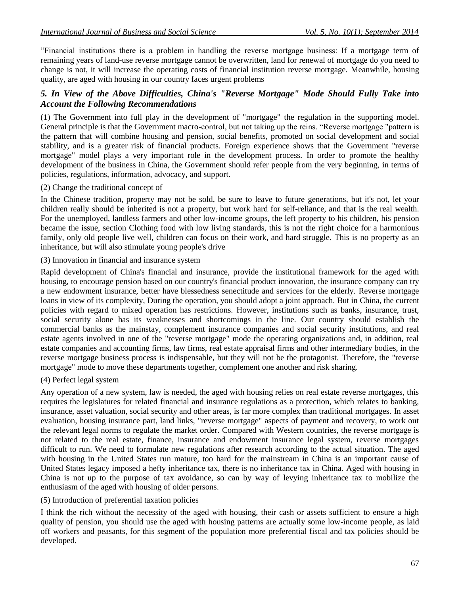"Financial institutions there is a problem in handling the reverse mortgage business: If a mortgage term of remaining years of land-use reverse mortgage cannot be overwritten, land for renewal of mortgage do you need to change is not, it will increase the operating costs of financial institution reverse mortgage. Meanwhile, housing quality, are aged with housing in our country faces urgent problems

### *5. In View of the Above Difficulties, China's "Reverse Mortgage" Mode Should Fully Take into Account the Following Recommendations*

(1) The Government into full play in the development of "mortgage" the regulation in the supporting model. General principle is that the Government macro-control, but not taking up the reins. "Reverse mortgage "pattern is the pattern that will combine housing and pension, social benefits, promoted on social development and social stability, and is a greater risk of financial products. Foreign experience shows that the Government "reverse mortgage" model plays a very important role in the development process. In order to promote the healthy development of the business in China, the Government should refer people from the very beginning, in terms of policies, regulations, information, advocacy, and support.

#### (2) Change the traditional concept of

In the Chinese tradition, property may not be sold, be sure to leave to future generations, but it's not, let your children really should be inherited is not a property, but work hard for self-reliance, and that is the real wealth. For the unemployed, landless farmers and other low-income groups, the left property to his children, his pension became the issue, section Clothing food with low living standards, this is not the right choice for a harmonious family, only old people live well, children can focus on their work, and hard struggle. This is no property as an inheritance, but will also stimulate young people's drive

#### (3) Innovation in financial and insurance system

Rapid development of China's financial and insurance, provide the institutional framework for the aged with housing, to encourage pension based on our country's financial product innovation, the insurance company can try a new endowment insurance, better have blessedness senectitude and services for the elderly. Reverse mortgage loans in view of its complexity, During the operation, you should adopt a joint approach. But in China, the current policies with regard to mixed operation has restrictions. However, institutions such as banks, insurance, trust, social security alone has its weaknesses and shortcomings in the line. Our country should establish the commercial banks as the mainstay, complement insurance companies and social security institutions, and real estate agents involved in one of the "reverse mortgage" mode the operating organizations and, in addition, real estate companies and accounting firms, law firms, real estate appraisal firms and other intermediary bodies, in the reverse mortgage business process is indispensable, but they will not be the protagonist. Therefore, the "reverse mortgage" mode to move these departments together, complement one another and risk sharing.

### (4) Perfect legal system

Any operation of a new system, law is needed, the aged with housing relies on real estate reverse mortgages, this requires the legislatures for related financial and insurance regulations as a protection, which relates to banking, insurance, asset valuation, social security and other areas, is far more complex than traditional mortgages. In asset evaluation, housing insurance part, land links, "reverse mortgage" aspects of payment and recovery, to work out the relevant legal norms to regulate the market order. Compared with Western countries, the reverse mortgage is not related to the real estate, finance, insurance and endowment insurance legal system, reverse mortgages difficult to run. We need to formulate new regulations after research according to the actual situation. The aged with housing in the United States run mature, too hard for the mainstream in China is an important cause of United States legacy imposed a hefty inheritance tax, there is no inheritance tax in China. Aged with housing in China is not up to the purpose of tax avoidance, so can by way of levying inheritance tax to mobilize the enthusiasm of the aged with housing of older persons.

### (5) Introduction of preferential taxation policies

I think the rich without the necessity of the aged with housing, their cash or assets sufficient to ensure a high quality of pension, you should use the aged with housing patterns are actually some low-income people, as laid off workers and peasants, for this segment of the population more preferential fiscal and tax policies should be developed.